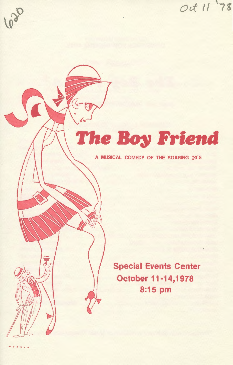Oct 11 78

# 620

# **The Boy Friend**

A MUSICAL COMEDY OF THE ROARING 20'S

Special Events Center October 11-14,1978 8:15 pm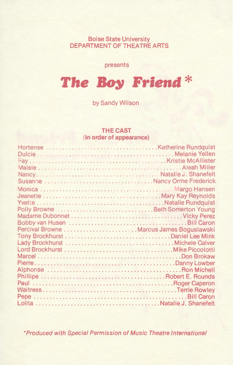Boise State University DEPARTMENT OF THEATRE ARTS

presents

# **The Boy Friend\***

by Sandy Wilson

#### **THE CAST (in order of appearance)**

| Polly Browne  Beth Somerton Young |  |
|-----------------------------------|--|
|                                   |  |
|                                   |  |
|                                   |  |
|                                   |  |
|                                   |  |
|                                   |  |
|                                   |  |
|                                   |  |
|                                   |  |
|                                   |  |
|                                   |  |
|                                   |  |
|                                   |  |
|                                   |  |

\*Produced with Special Permission of Music Theatre International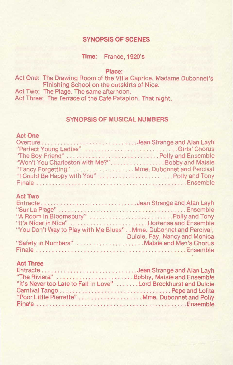## **SYNOPSIS OF SCENES**

**Time:** France, 1920's

**Place:** 

Act One: The Drawing Room of the Villa Caprice, Madame Dubonnet's Finishing School on the outskirts of Nice.

Act Two: The Plage. The same afternoon.

Act Three: The Terrace of the Cafe Pataplon. That night.

### **SYNOPSIS OF MUSICAL NUMBERS**

### **Act One**

| "Perfect Young Ladies" Girls' Chorus           |  |
|------------------------------------------------|--|
|                                                |  |
|                                                |  |
| "Fancy Forgetting"  Mme. Dubonnet and Percival |  |
| "  Could Be Happy with You"  Polly and Tony    |  |
|                                                |  |

# **Act Two**

| "It's Nicer in Nice" Hortense and Ensemble                        |                               |
|-------------------------------------------------------------------|-------------------------------|
| "You Don't Way to Play with Me Blues" Mme. Dubonnet and Percival, |                               |
|                                                                   | Dulcie, Fay, Nancy and Monica |
| "Safety in Numbers" Maisie and Men's Chorus                       |                               |
|                                                                   |                               |

# **Act Three**

| "The Riviera" Bobby, Maisie and Ensemble                          |
|-------------------------------------------------------------------|
| "It's Never too Late to Fall in Love"  Lord Brockhurst and Dulcie |
|                                                                   |
|                                                                   |
|                                                                   |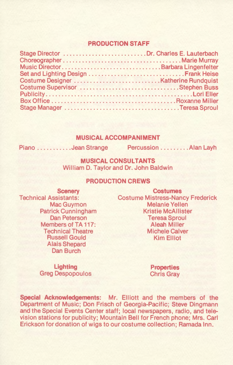#### **PRODUCTION STAFF**

| Stage Director Dr. Charles E. Lauterbach |  |
|------------------------------------------|--|
|                                          |  |
|                                          |  |
|                                          |  |
|                                          |  |
|                                          |  |
|                                          |  |
|                                          |  |
|                                          |  |

#### **MUSICAL ACCOMPANIMENT**

Piano ...........Jean Strange Percussion ......... Alan Layh

**MUSICAL CONSULTANTS**  William D. Taylor and Dr. John Baldwin

#### **PRODUCTION CREWS**

**Scenery**  Technical Assistants: Mac Guymon Patrick Cunningham Dan Peterson Members of TA 117: Technical Theatre Russell Gould Alais Shepard Dan Burch

**Costumes**  Costume Mistress-Nancy Frederick Melanie Yellen Kristie McAllister Teresa Sproul Aleah Miller Michele Calver Kim Elliot

**Lighting**  Greg Despopoulos **Properties**  Chris Gray

**Special Acknowledgements:** Mr. Elliott and the members of the Department of Music; Don Frisch of Georgia-Pacific; Steve Dingmann and the Special Events Center staff; local newspapers, radio, and television stations for publicity; Mountain Bell for French phone; Mrs. Carl Erickson for donation of wigs to our costume collection; Ramada Inn.